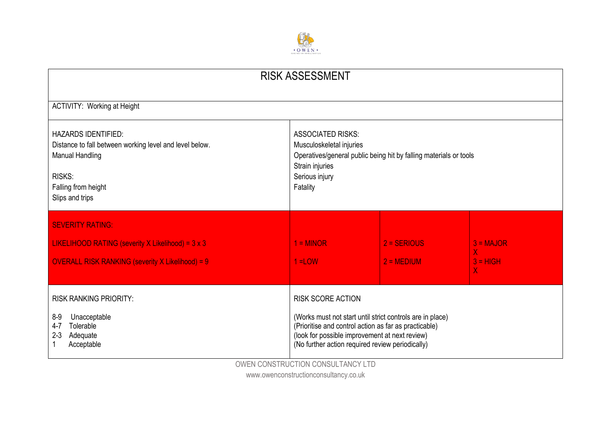

## RISK ASSESSMENT

| <b>ACTIVITY: Working at Height</b>                                                                                                                                         |                                                                                                                                                                                                                                                      |               |                             |  |  |
|----------------------------------------------------------------------------------------------------------------------------------------------------------------------------|------------------------------------------------------------------------------------------------------------------------------------------------------------------------------------------------------------------------------------------------------|---------------|-----------------------------|--|--|
| <b>HAZARDS IDENTIFIED:</b><br>Distance to fall between working level and level below.<br><b>Manual Handling</b><br><b>RISKS:</b><br>Falling from height<br>Slips and trips | <b>ASSOCIATED RISKS:</b><br>Musculoskeletal injuries<br>Operatives/general public being hit by falling materials or tools<br>Strain injuries<br>Serious injury<br>Fatality                                                                           |               |                             |  |  |
| <b>SEVERITY RATING:</b>                                                                                                                                                    |                                                                                                                                                                                                                                                      |               |                             |  |  |
| LIKELIHOOD RATING (severity X Likelihood) = $3 \times 3$                                                                                                                   | $1 = MINOR$                                                                                                                                                                                                                                          | $2 = SERIOUS$ | $3 = MAJOR$<br>$\mathsf{X}$ |  |  |
| <b>OVERALL RISK RANKING (severity X Likelihood) = 9</b>                                                                                                                    | $1 =$ LOW                                                                                                                                                                                                                                            | $2 = MEDIUM$  | $3 = HIGH$<br>$\mathsf{X}$  |  |  |
| <b>RISK RANKING PRIORITY:</b><br>Unacceptable<br>$8-9$<br>$4 - 7$<br>Tolerable<br>$2 - 3$<br>Adequate<br>Acceptable                                                        | <b>RISK SCORE ACTION</b><br>(Works must not start until strict controls are in place)<br>(Prioritise and control action as far as practicable)<br>(look for possible improvement at next review)<br>(No further action required review periodically) |               |                             |  |  |

OWEN CONSTRUCTION CONSULTANCY LTD

www.owenconstructionconsultancy.co.uk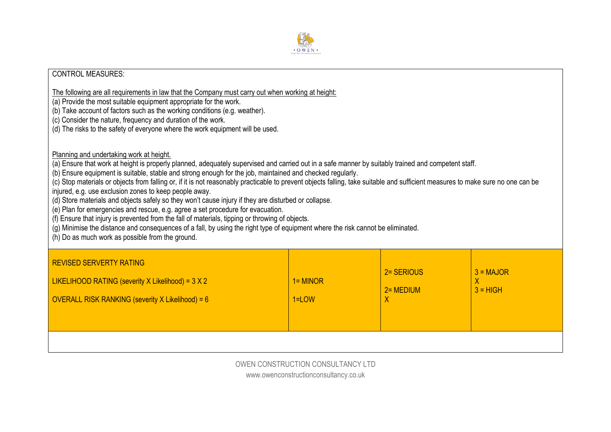

The following are all requirements in law that the Company must carry out when working at height:

(a) Provide the most suitable equipment appropriate for the work.

(b) Take account of factors such as the working conditions (e.g. weather).

(c) Consider the nature, frequency and duration of the work.

(d) The risks to the safety of everyone where the work equipment will be used.

## Planning and undertaking work at height.

(a) Ensure that work at height is properly planned, adequately supervised and carried out in a safe manner by suitably trained and competent staff.

(b) Ensure equipment is suitable, stable and strong enough for the job, maintained and checked regularly.

(c) Stop materials or objects from falling or, if it is not reasonably practicable to prevent objects falling, take suitable and sufficient measures to make sure no one can be

injured, e.g. use exclusion zones to keep people away.

(d) Store materials and objects safely so they won't cause injury if they are disturbed or collapse.

(e) Plan for emergencies and rescue, e.g. agree a set procedure for evacuation.

(f) Ensure that injury is prevented from the fall of materials, tipping or throwing of objects.

(g) Minimise the distance and consequences of a fall, by using the right type of equipment where the risk cannot be eliminated.

(h) Do as much work as possible from the ground.

| <b>REVISED SERVERTY RATING</b><br><b>LIKELIHOOD RATING (severity X Likelihood) = <math>3 X 2</math></b><br>OVERALL RISK RANKING (severity X Likelihood) = 6 | $1 = MINOR$<br>$1 = LOW$ | 2 = SERIOUS<br>2 = MEDIUM<br>∧ | $3 = MAJOR$<br>Χ<br>$3 = HIGH$ |
|-------------------------------------------------------------------------------------------------------------------------------------------------------------|--------------------------|--------------------------------|--------------------------------|
|                                                                                                                                                             |                          |                                |                                |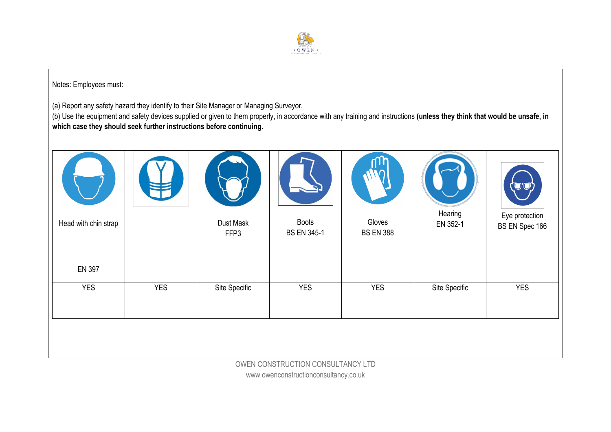

Notes: Employees must:

(a) Report any safety hazard they identify to their Site Manager or Managing Surveyor.

(b) Use the equipment and safety devices supplied or given to them properly, in accordance with any training and instructions **(unless they think that would be unsafe, in which case they should seek further instructions before continuing.**

| Head with chin strap | ≡          | Dust Mask<br>FFP3 | Boots<br><b>BS EN 345-1</b> | Gloves<br><b>BS EN 388</b> | Hearing<br>EN 352-1 | `U*U<br>Eye protection<br>BS EN Spec 166 |
|----------------------|------------|-------------------|-----------------------------|----------------------------|---------------------|------------------------------------------|
| EN 397               |            |                   |                             |                            |                     |                                          |
| <b>YES</b>           | <b>YES</b> | Site Specific     | <b>YES</b>                  | <b>YES</b>                 | Site Specific       | <b>YES</b>                               |
|                      |            |                   |                             |                            |                     |                                          |

OWEN CONSTRUCTION CONSULTANCY LTD www.owenconstructionconsultancy.co.uk